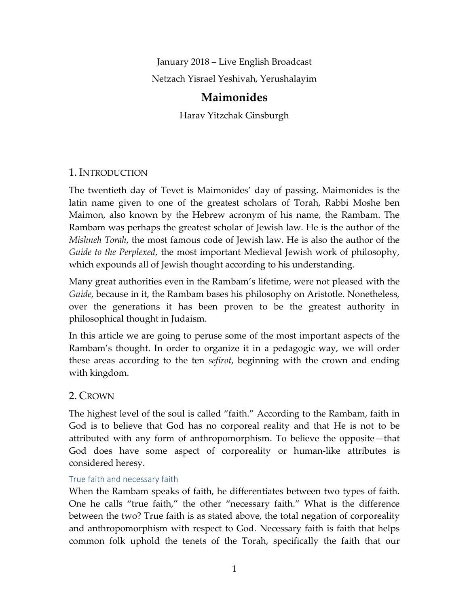January 2018 – Live English Broadcast Netzach Yisrael Yeshivah, Yerushalayim

# **Maimonides**

Harav Yitzchak Ginsburgh

# 1. INTRODUCTION

The twentieth day of Tevet is Maimonides' day of passing. Maimonides is the latin name given to one of the greatest scholars of Torah, Rabbi Moshe ben Maimon, also known by the Hebrew acronym of his name, the Rambam. The Rambam was perhaps the greatest scholar of Jewish law. He is the author of the *Mishneh Torah*, the most famous code of Jewish law. He is also the author of the *Guide to the Perplexed*, the most important Medieval Jewish work of philosophy, which expounds all of Jewish thought according to his understanding.

Many great authorities even in the Rambam's lifetime, were not pleased with the *Guide*, because in it, the Rambam bases his philosophy on Aristotle. Nonetheless, over the generations it has been proven to be the greatest authority in philosophical thought in Judaism.

In this article we are going to peruse some of the most important aspects of the Rambam's thought. In order to organize it in a pedagogic way, we will order these areas according to the ten *sefirot*, beginning with the crown and ending with kingdom.

# 2. CROWN

The highest level of the soul is called "faith." According to the Rambam, faith in God is to believe that God has no corporeal reality and that He is not to be attributed with any form of anthropomorphism. To believe the opposite—that God does have some aspect of corporeality or human-like attributes is considered heresy.

## True faith and necessary faith

When the Rambam speaks of faith, he differentiates between two types of faith. One he calls "true faith," the other "necessary faith." What is the difference between the two? True faith is as stated above, the total negation of corporeality and anthropomorphism with respect to God. Necessary faith is faith that helps common folk uphold the tenets of the Torah, specifically the faith that our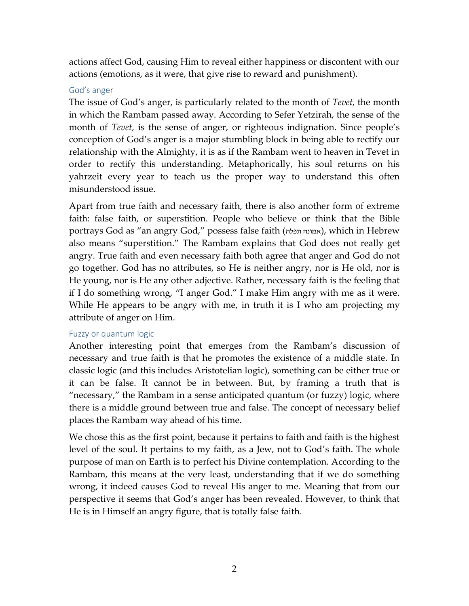actions affect God, causing Him to reveal either happiness or discontent with our actions (emotions, as it were, that give rise to reward and punishment).

#### God's anger

The issue of God's anger, is particularly related to the month of *Tevet*, the month in which the Rambam passed away. According to Sefer Yetzirah, the sense of the month of *Tevet*, is the sense of anger, or righteous indignation. Since people's conception of God's anger is a major stumbling block in being able to rectify our relationship with the Almighty, it is as if the Rambam went to heaven in Tevet in order to rectify this understanding. Metaphorically, his soul returns on his yahrzeit every year to teach us the proper way to understand this often misunderstood issue.

Apart from true faith and necessary faith, there is also another form of extreme faith: false faith, or superstition. People who believe or think that the Bible portrays God as "an angry God," possess false faith (אמונה תפלה), which in Hebrew also means "superstition." The Rambam explains that God does not really get angry. True faith and even necessary faith both agree that anger and God do not go together. God has no attributes, so He is neither angry, nor is He old, nor is He young, nor is He any other adjective. Rather, necessary faith is the feeling that if I do something wrong, "I anger God." I make Him angry with me as it were. While He appears to be angry with me, in truth it is I who am projecting my attribute of anger on Him.

## Fuzzy or quantum logic

Another interesting point that emerges from the Rambam's discussion of necessary and true faith is that he promotes the existence of a middle state. In classic logic (and this includes Aristotelian logic), something can be either true or it can be false. It cannot be in between. But, by framing a truth that is "necessary," the Rambam in a sense anticipated quantum (or fuzzy) logic, where there is a middle ground between true and false. The concept of necessary belief places the Rambam way ahead of his time.

We chose this as the first point, because it pertains to faith and faith is the highest level of the soul. It pertains to my faith, as a Jew, not to God's faith. The whole purpose of man on Earth is to perfect his Divine contemplation. According to the Rambam, this means at the very least, understanding that if we do something wrong, it indeed causes God to reveal His anger to me. Meaning that from our perspective it seems that God's anger has been revealed. However, to think that He is in Himself an angry figure, that is totally false faith.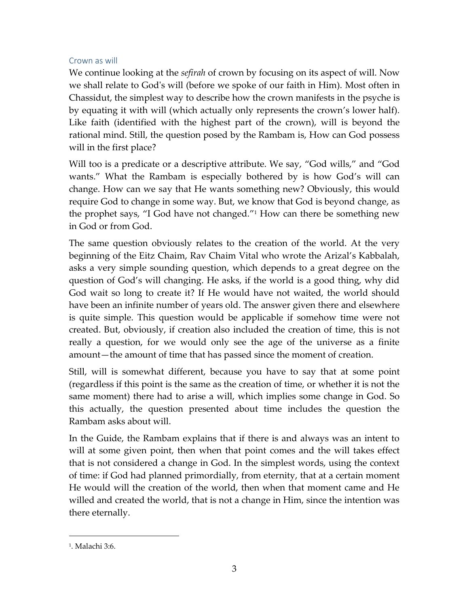## Crown as will

We continue looking at the *sefirah* of crown by focusing on its aspect of will. Now we shall relate to God's will (before we spoke of our faith in Him). Most often in Chassidut, the simplest way to describe how the crown manifests in the psyche is by equating it with will (which actually only represents the crown's lower half). Like faith (identified with the highest part of the crown), will is beyond the rational mind. Still, the question posed by the Rambam is, How can God possess will in the first place?

Will too is a predicate or a descriptive attribute. We say, "God wills," and "God wants." What the Rambam is especially bothered by is how God's will can change. How can we say that He wants something new? Obviously, this would require God to change in some way. But, we know that God is beyond change, as the prophet says, "I God have not changed." <sup>1</sup> How can there be something new in God or from God.

The same question obviously relates to the creation of the world. At the very beginning of the Eitz Chaim, Rav Chaim Vital who wrote the Arizal's Kabbalah, asks a very simple sounding question, which depends to a great degree on the question of God's will changing. He asks, if the world is a good thing, why did God wait so long to create it? If He would have not waited, the world should have been an infinite number of years old. The answer given there and elsewhere is quite simple. This question would be applicable if somehow time were not created. But, obviously, if creation also included the creation of time, this is not really a question, for we would only see the age of the universe as a finite amount—the amount of time that has passed since the moment of creation.

Still, will is somewhat different, because you have to say that at some point (regardless if this point is the same as the creation of time, or whether it is not the same moment) there had to arise a will, which implies some change in God. So this actually, the question presented about time includes the question the Rambam asks about will.

In the Guide, the Rambam explains that if there is and always was an intent to will at some given point, then when that point comes and the will takes effect that is not considered a change in God. In the simplest words, using the context of time: if God had planned primordially, from eternity, that at a certain moment He would will the creation of the world, then when that moment came and He willed and created the world, that is not a change in Him, since the intention was there eternally.

<sup>1</sup> . Malachi 3:6.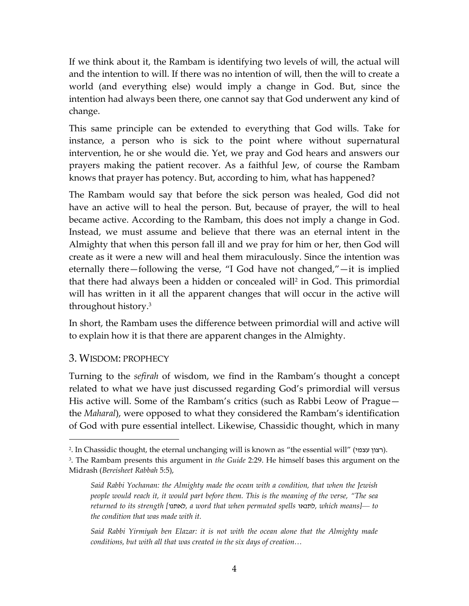If we think about it, the Rambam is identifying two levels of will, the actual will and the intention to will. If there was no intention of will, then the will to create a world (and everything else) would imply a change in God. But, since the intention had always been there, one cannot say that God underwent any kind of change.

This same principle can be extended to everything that God wills. Take for instance, a person who is sick to the point where without supernatural intervention, he or she would die. Yet, we pray and God hears and answers our prayers making the patient recover. As a faithful Jew, of course the Rambam knows that prayer has potency. But, according to him, what has happened?

The Rambam would say that before the sick person was healed, God did not have an active will to heal the person. But, because of prayer, the will to heal became active. According to the Rambam, this does not imply a change in God. Instead, we must assume and believe that there was an eternal intent in the Almighty that when this person fall ill and we pray for him or her, then God will create as it were a new will and heal them miraculously. Since the intention was eternally there—following the verse, "I God have not changed,"—it is implied that there had always been a hidden or concealed will<sup>2</sup> in God. This primordial will has written in it all the apparent changes that will occur in the active will throughout history.<sup>3</sup>

In short, the Rambam uses the difference between primordial will and active will to explain how it is that there are apparent changes in the Almighty.

## 3. WISDOM: PROPHECY

 $\overline{a}$ 

Turning to the *sefirah* of wisdom, we find in the Rambam's thought a concept related to what we have just discussed regarding God's primordial will versus His active will. Some of the Rambam's critics (such as Rabbi Leow of Prague the *Maharal*), were opposed to what they considered the Rambam's identification of God with pure essential intellect. Likewise, Chassidic thought, which in many

<sup>2.</sup> In Chassidic thought, the eternal unchanging will is known as "the essential will" (רצון עצמי).

<sup>3</sup> . The Rambam presents this argument in *the Guide* 2:29. He himself bases this argument on the Midrash (*Bereisheet Rabbah* 5:5),

*Said Rabbi Yochanan: the Almighty made the ocean with a condition, that when the Jewish people would reach it, it would part before them. This is the meaning of the verse, "The sea returned to its strength [*לאתנו*, a word that when permuted spells* לתנאו*, which means]*— *to the condition that was made with it.*

*Said Rabbi Yirmiyah ben Elazar: it is not with the ocean alone that the Almighty made conditions, but with all that was created in the six days of creation…*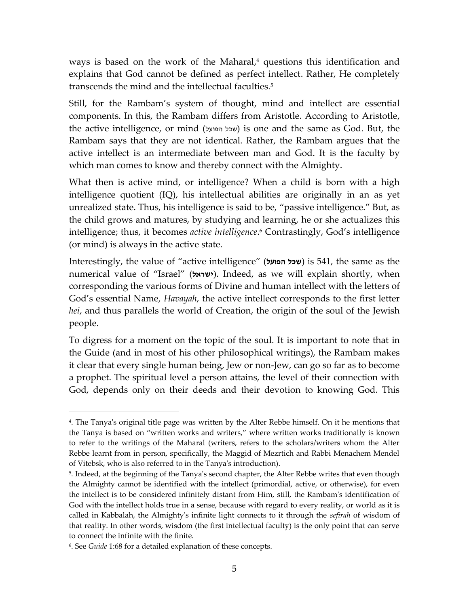ways is based on the work of the Maharal, <sup>4</sup> questions this identification and explains that God cannot be defined as perfect intellect. Rather, He completely transcends the mind and the intellectual faculties. 5

Still, for the Rambam's system of thought, mind and intellect are essential components. In this, the Rambam differs from Aristotle. According to Aristotle, the active intelligence, or mind (הפועל שכל (is one and the same as God. But, the Rambam says that they are not identical. Rather, the Rambam argues that the active intellect is an intermediate between man and God. It is the faculty by which man comes to know and thereby connect with the Almighty.

What then is active mind, or intelligence? When a child is born with a high intelligence quotient (IQ), his intellectual abilities are originally in an as yet unrealized state. Thus, his intelligence is said to be, "passive intelligence." But, as the child grows and matures, by studying and learning, he or she actualizes this intelligence; thus, it becomes *active intelligence*. <sup>6</sup> Contrastingly, God's intelligence (or mind) is always in the active state.

Interestingly, the value of "active intelligence" (**הפועל שכל** (is 541, the same as the numerical value of "Israel" (**ישראל)**. Indeed, as we will explain shortly, when corresponding the various forms of Divine and human intellect with the letters of God's essential Name, *Havayah*, the active intellect corresponds to the first letter *hei*, and thus parallels the world of Creation, the origin of the soul of the Jewish people.

To digress for a moment on the topic of the soul. It is important to note that in the Guide (and in most of his other philosophical writings), the Rambam makes it clear that every single human being, Jew or non-Jew, can go so far as to become a prophet. The spiritual level a person attains, the level of their connection with God, depends only on their deeds and their devotion to knowing God. This

<sup>4</sup> . The Tanya's original title page was written by the Alter Rebbe himself. On it he mentions that the Tanya is based on "written works and writers," where written works traditionally is known to refer to the writings of the Maharal (writers, refers to the scholars/writers whom the Alter Rebbe learnt from in person, specifically, the Maggid of Mezrtich and Rabbi Menachem Mendel of Vitebsk, who is also referred to in the Tanya's introduction).

<sup>5</sup> . Indeed, at the beginning of the Tanya's second chapter, the Alter Rebbe writes that even though the Almighty cannot be identified with the intellect (primordial, active, or otherwise), for even the intellect is to be considered infinitely distant from Him, still, the Rambam's identification of God with the intellect holds true in a sense, because with regard to every reality, or world as it is called in Kabbalah, the Almighty's infinite light connects to it through the *sefirah* of wisdom of that reality. In other words, wisdom (the first intellectual faculty) is the only point that can serve to connect the infinite with the finite.

<sup>6</sup> . See *Guide* 1:68 for a detailed explanation of these concepts.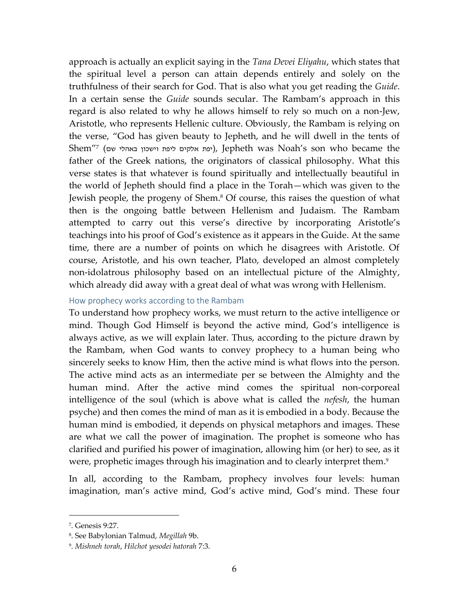approach is actually an explicit saying in the *Tana Devei Eliyahu*, which states that the spiritual level a person can attain depends entirely and solely on the truthfulness of their search for God. That is also what you get reading the *Guide*. In a certain sense the *Guide* sounds secular. The Rambam's approach in this regard is also related to why he allows himself to rely so much on a non-Jew, Aristotle, who represents Hellenic culture. Obviously, the Rambam is relying on the verse, "God has given beauty to Jepheth, and he will dwell in the tents of Shem''<sup>7</sup> (יפת אלקים ליפת וישכון באהלי שם), Jepheth was Noah's son who became the father of the Greek nations, the originators of classical philosophy. What this verse states is that whatever is found spiritually and intellectually beautiful in the world of Jepheth should find a place in the Torah—which was given to the Jewish people, the progeny of Shem.<sup>8</sup> Of course, this raises the question of what then is the ongoing battle between Hellenism and Judaism. The Rambam attempted to carry out this verse's directive by incorporating Aristotle's teachings into his proof of God's existence as it appears in the Guide. At the same time, there are a number of points on which he disagrees with Aristotle. Of course, Aristotle, and his own teacher, Plato, developed an almost completely non-idolatrous philosophy based on an intellectual picture of the Almighty, which already did away with a great deal of what was wrong with Hellenism.

#### How prophecy works according to the Rambam

To understand how prophecy works, we must return to the active intelligence or mind. Though God Himself is beyond the active mind, God's intelligence is always active, as we will explain later. Thus, according to the picture drawn by the Rambam, when God wants to convey prophecy to a human being who sincerely seeks to know Him, then the active mind is what flows into the person. The active mind acts as an intermediate per se between the Almighty and the human mind. After the active mind comes the spiritual non-corporeal intelligence of the soul (which is above what is called the *nefesh*, the human psyche) and then comes the mind of man as it is embodied in a body. Because the human mind is embodied, it depends on physical metaphors and images. These are what we call the power of imagination. The prophet is someone who has clarified and purified his power of imagination, allowing him (or her) to see, as it were, prophetic images through his imagination and to clearly interpret them. 9

In all, according to the Rambam, prophecy involves four levels: human imagination, man's active mind, God's active mind, God's mind. These four

<sup>7</sup> . Genesis 9:27.

<sup>8</sup> . See Babylonian Talmud, *Megillah* 9b.

<sup>9</sup> . *Mishneh torah*, *Hilchot yesodei hatorah* 7:3.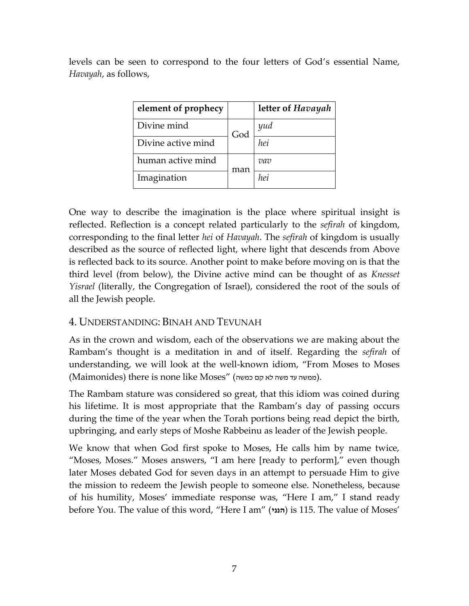levels can be seen to correspond to the four letters of God's essential Name, *Havayah*, as follows,

| element of prophecy |     | letter of Havayah |
|---------------------|-----|-------------------|
| Divine mind         | God | yud               |
| Divine active mind  |     | hei               |
| human active mind   | man | vav               |
| Imagination         |     | hei               |

One way to describe the imagination is the place where spiritual insight is reflected. Reflection is a concept related particularly to the *sefirah* of kingdom, corresponding to the final letter *hei* of *Havayah*. The *sefirah* of kingdom is usually described as the source of reflected light, where light that descends from Above is reflected back to its source. Another point to make before moving on is that the third level (from below), the Divine active mind can be thought of as *Knesset Yisrael* (literally, the Congregation of Israel), considered the root of the souls of all the Jewish people.

# 4. UNDERSTANDING: BINAH AND TEVUNAH

As in the crown and wisdom, each of the observations we are making about the Rambam's thought is a meditation in and of itself. Regarding the *sefirah* of understanding, we will look at the well-known idiom, "From Moses to Moses (ממשה עד משה לא קם כמשה) (Maimonides) there is none like Moses" (ממשה עד

The Rambam stature was considered so great, that this idiom was coined during his lifetime. It is most appropriate that the Rambam's day of passing occurs during the time of the year when the Torah portions being read depict the birth, upbringing, and early steps of Moshe Rabbeinu as leader of the Jewish people.

We know that when God first spoke to Moses, He calls him by name twice, "Moses, Moses." Moses answers, "I am here [ready to perform]," even though later Moses debated God for seven days in an attempt to persuade Him to give the mission to redeem the Jewish people to someone else. Nonetheless, because of his humility, Moses' immediate response was, "Here I am," I stand ready before You. The value of this word, "Here I am" (**הנני** (is 115. The value of Moses'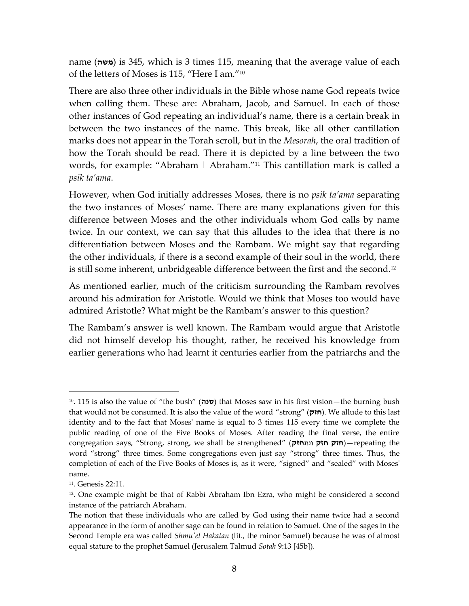name (**משה**) is 345, which is 3 times 115, meaning that the average value of each of the letters of Moses is 115, "Here I am." 10

There are also three other individuals in the Bible whose name God repeats twice when calling them. These are: Abraham, Jacob, and Samuel. In each of those other instances of God repeating an individual's name, there is a certain break in between the two instances of the name. This break, like all other cantillation marks does not appear in the Torah scroll, but in the *Mesorah*, the oral tradition of how the Torah should be read. There it is depicted by a line between the two words, for example: "Abraham | Abraham." <sup>11</sup> This cantillation mark is called a *psik ta'ama*.

However, when God initially addresses Moses, there is no *psik ta'ama* separating the two instances of Moses' name. There are many explanations given for this difference between Moses and the other individuals whom God calls by name twice. In our context, we can say that this alludes to the idea that there is no differentiation between Moses and the Rambam. We might say that regarding the other individuals, if there is a second example of their soul in the world, there is still some inherent, unbridgeable difference between the first and the second.<sup>12</sup>

As mentioned earlier, much of the criticism surrounding the Rambam revolves around his admiration for Aristotle. Would we think that Moses too would have admired Aristotle? What might be the Rambam's answer to this question?

The Rambam's answer is well known. The Rambam would argue that Aristotle did not himself develop his thought, rather, he received his knowledge from earlier generations who had learnt it centuries earlier from the patriarchs and the

<sup>&</sup>lt;sup>10</sup>. 115 is also the value of "the bush" (סנה) that Moses saw in his first vision—the burning bush that would not be consumed. It is also the value of the word "strong" (**חזק**(. We allude to this last identity and to the fact that Moses' name is equal to 3 times 115 every time we complete the public reading of one of the Five Books of Moses. After reading the final verse, the entire congregation says, "Strong, strong, we shall be strengthened" (ונת**חזק חזק חזק**—(repeating the word "strong" three times. Some congregations even just say "strong" three times. Thus, the completion of each of the Five Books of Moses is, as it were, "signed" and "sealed" with Moses' name.

<sup>11</sup>. Genesis 22:11.

<sup>12</sup>. One example might be that of Rabbi Abraham Ibn Ezra, who might be considered a second instance of the patriarch Abraham.

The notion that these individuals who are called by God using their name twice had a second appearance in the form of another sage can be found in relation to Samuel. One of the sages in the Second Temple era was called *Shmu'el Hakatan* (lit., the minor Samuel) because he was of almost equal stature to the prophet Samuel (Jerusalem Talmud *Sotah* 9:13 [45b]).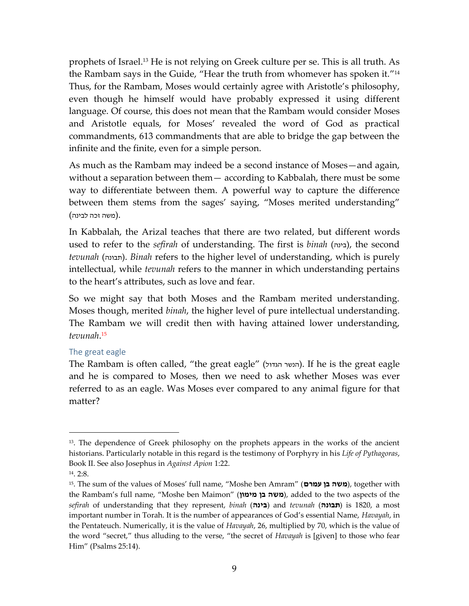prophets of Israel. <sup>13</sup> He is not relying on Greek culture per se. This is all truth. As the Rambam says in the Guide, "Hear the truth from whomever has spoken it." 14 Thus, for the Rambam, Moses would certainly agree with Aristotle's philosophy, even though he himself would have probably expressed it using different language. Of course, this does not mean that the Rambam would consider Moses and Aristotle equals, for Moses' revealed the word of God as practical commandments, 613 commandments that are able to bridge the gap between the infinite and the finite, even for a simple person.

As much as the Rambam may indeed be a second instance of Moses—and again, without a separation between them— according to Kabbalah, there must be some way to differentiate between them. A powerful way to capture the difference between them stems from the sages' saying, "Moses merited understanding" .(משה זכה לבינה)

In Kabbalah, the Arizal teaches that there are two related, but different words used to refer to the *sefirah* of understanding. The first is *binah* (בינה), the second *tevunah* (תבונה). *Binah* refers to the higher level of understanding, which is purely intellectual, while *tevunah* refers to the manner in which understanding pertains to the heart's attributes, such as love and fear.

So we might say that both Moses and the Rambam merited understanding. Moses though, merited *binah*, the higher level of pure intellectual understanding. The Rambam we will credit then with having attained lower understanding, *tevunah*. 15

#### The great eagle

The Rambam is often called, "the great eagle" (הנשר הגדול). If he is the great eagle and he is compared to Moses, then we need to ask whether Moses was ever referred to as an eagle. Was Moses ever compared to any animal figure for that matter?

<sup>&</sup>lt;sup>13</sup>. The dependence of Greek philosophy on the prophets appears in the works of the ancient historians. Particularly notable in this regard is the testimony of Porphyry in his *Life of Pythagoras*, Book II. See also Josephus in *Against Apion* 1:22.

<sup>14</sup>. 2:8.

<sup>15</sup>. The sum of the values of Moses' full name, "Moshe ben Amram" (**עמרם בן משה**(, together with the Rambam's full name, "Moshe ben Maimon" (**מימון בן משה**(, added to the two aspects of the *sefirah* of understanding that they represent, *binah* (בינה) and *tevunah* (**תבונה**) is 1820, a most important number in Torah. It is the number of appearances of God's essential Name, *Havayah*, in the Pentateuch. Numerically, it is the value of *Havayah*, 26, multiplied by 70, which is the value of the word "secret," thus alluding to the verse, "the secret of *Havayah* is [given] to those who fear Him" (Psalms 25:14).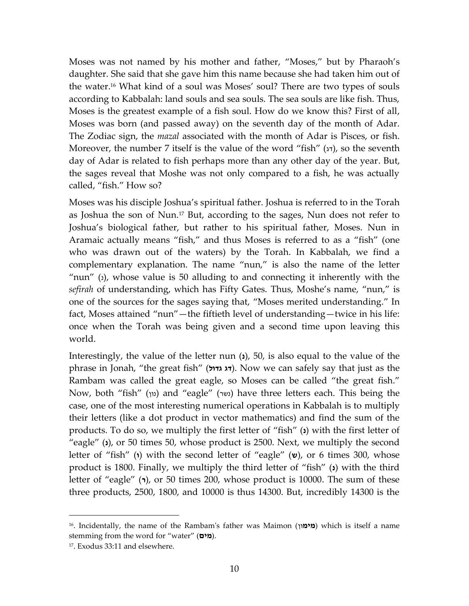Moses was not named by his mother and father, "Moses," but by Pharaoh's daughter. She said that she gave him this name because she had taken him out of the water. <sup>16</sup> What kind of a soul was Moses' soul? There are two types of souls according to Kabbalah: land souls and sea souls. The sea souls are like fish. Thus, Moses is the greatest example of a fish soul. How do we know this? First of all, Moses was born (and passed away) on the seventh day of the month of Adar. The Zodiac sign, the *mazal* associated with the month of Adar is Pisces, or fish. Moreover, the number 7 itself is the value of the word "fish"  $(x)$ , so the seventh day of Adar is related to fish perhaps more than any other day of the year. But, the sages reveal that Moshe was not only compared to a fish, he was actually called, "fish." How so?

Moses was his disciple Joshua's spiritual father. Joshua is referred to in the Torah as Joshua the son of Nun.<sup>17</sup> But, according to the sages, Nun does not refer to Joshua's biological father, but rather to his spiritual father, Moses. Nun in Aramaic actually means "fish," and thus Moses is referred to as a "fish" (one who was drawn out of the waters) by the Torah. In Kabbalah, we find a complementary explanation. The name "nun," is also the name of the letter "nun" ( $\alpha$ ), whose value is 50 alluding to and connecting it inherently with the *sefirah* of understanding, which has Fifty Gates. Thus, Moshe's name, "nun," is one of the sources for the sages saying that, "Moses merited understanding." In fact, Moses attained "nun"—the fiftieth level of understanding—twice in his life: once when the Torah was being given and a second time upon leaving this world.

Interestingly, the value of the letter nun (**s**), 50, is also equal to the value of the phrase in Jonah, "the great fish" (**גדול דג**(. Now we can safely say that just as the Rambam was called the great eagle, so Moses can be called "the great fish." Now, both "fish" (נון) and "eagle" (נשר) have three letters each. This being the case, one of the most interesting numerical operations in Kabbalah is to multiply their letters (like a dot product in vector mathematics) and find the sum of the products. To do so, we multiply the first letter of "fish" (**1**) with the first letter of "eagle" (**i**), or 50 times 50, whose product is 2500. Next, we multiply the second letter of "fish" (**i**) with the second letter of "eagle" (**v**), or 6 times 300, whose product is 1800. Finally, we multiply the third letter of "fish" (**b**) with the third letter of "eagle" ( $\eta$ ), or 50 times 200, whose product is 10000. The sum of these three products, 2500, 1800, and 10000 is thus 14300. But, incredibly 14300 is the

<sup>&</sup>lt;sup>16</sup>. Incidentally, the name of the Rambam's father was Maimon (**מימו**ן) which is itself a name stemming from the word for "water" (**מים**(.

<sup>17</sup>. Exodus 33:11 and elsewhere.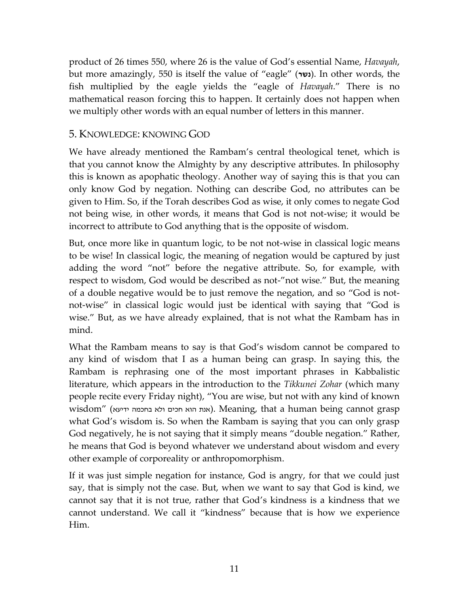product of 26 times 550, where 26 is the value of God's essential Name, *Havayah*, but more amazingly, 550 is itself the value of "eagle" (**נשר**). In other words, the fish multiplied by the eagle yields the "eagle of *Havayah*." There is no mathematical reason forcing this to happen. It certainly does not happen when we multiply other words with an equal number of letters in this manner.

## 5. KNOWLEDGE: KNOWING GOD

We have already mentioned the Rambam's central theological tenet, which is that you cannot know the Almighty by any descriptive attributes. In philosophy this is known as apophatic theology. Another way of saying this is that you can only know God by negation. Nothing can describe God, no attributes can be given to Him. So, if the Torah describes God as wise, it only comes to negate God not being wise, in other words, it means that God is not not-wise; it would be incorrect to attribute to God anything that is the opposite of wisdom.

But, once more like in quantum logic, to be not not-wise in classical logic means to be wise! In classical logic, the meaning of negation would be captured by just adding the word "not" before the negative attribute. So, for example, with respect to wisdom, God would be described as not-"not wise." But, the meaning of a double negative would be to just remove the negation, and so "God is notnot-wise" in classical logic would just be identical with saying that "God is wise." But, as we have already explained, that is not what the Rambam has in mind.

What the Rambam means to say is that God's wisdom cannot be compared to any kind of wisdom that I as a human being can grasp. In saying this, the Rambam is rephrasing one of the most important phrases in Kabbalistic literature, which appears in the introduction to the *Tikkunei Zohar* (which many people recite every Friday night), "You are wise, but not with any kind of known wisdom" (ידיעא בחכמה ולא חכים הוא אנת(. Meaning, that a human being cannot grasp what God's wisdom is. So when the Rambam is saying that you can only grasp God negatively, he is not saying that it simply means "double negation." Rather, he means that God is beyond whatever we understand about wisdom and every other example of corporeality or anthropomorphism.

If it was just simple negation for instance, God is angry, for that we could just say, that is simply not the case. But, when we want to say that God is kind, we cannot say that it is not true, rather that God's kindness is a kindness that we cannot understand. We call it "kindness" because that is how we experience Him.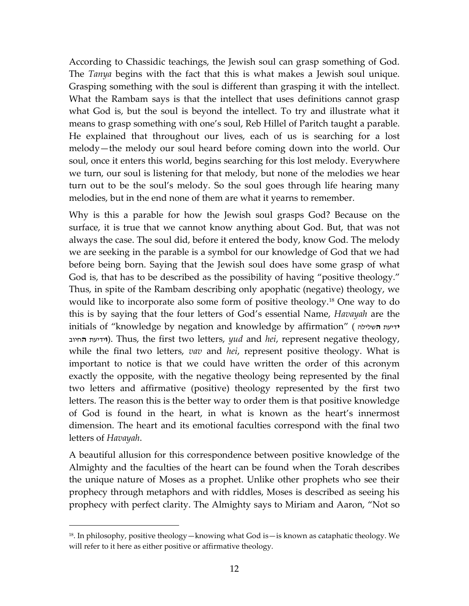According to Chassidic teachings, the Jewish soul can grasp something of God. The *Tanya* begins with the fact that this is what makes a Jewish soul unique. Grasping something with the soul is different than grasping it with the intellect. What the Rambam says is that the intellect that uses definitions cannot grasp what God is, but the soul is beyond the intellect. To try and illustrate what it means to grasp something with one's soul, Reb Hillel of Paritch taught a parable. He explained that throughout our lives, each of us is searching for a lost melody—the melody our soul heard before coming down into the world. Our soul, once it enters this world, begins searching for this lost melody. Everywhere we turn, our soul is listening for that melody, but none of the melodies we hear turn out to be the soul's melody. So the soul goes through life hearing many melodies, but in the end none of them are what it yearns to remember.

Why is this a parable for how the Jewish soul grasps God? Because on the surface, it is true that we cannot know anything about God. But, that was not always the case. The soul did, before it entered the body, know God. The melody we are seeking in the parable is a symbol for our knowledge of God that we had before being born. Saying that the Jewish soul does have some grasp of what God is, that has to be described as the possibility of having "positive theology." Thus, in spite of the Rambam describing only apophatic (negative) theology, we would like to incorporate also some form of positive theology.<sup>18</sup> One way to do this is by saying that the four letters of God's essential Name, *Havayah* are the initials of "knowledge by negation and knowledge by affirmation" ( **ה**שלילה **י**דיעת **ו**ידיעת **ה**חיוב). Thus, the first two letters, *yud* and *hei*, represent negative theology, while the final two letters, *vav* and *hei*, represent positive theology. What is important to notice is that we could have written the order of this acronym exactly the opposite, with the negative theology being represented by the final two letters and affirmative (positive) theology represented by the first two letters. The reason this is the better way to order them is that positive knowledge of God is found in the heart, in what is known as the heart's innermost dimension. The heart and its emotional faculties correspond with the final two letters of *Havayah*.

A beautiful allusion for this correspondence between positive knowledge of the Almighty and the faculties of the heart can be found when the Torah describes the unique nature of Moses as a prophet. Unlike other prophets who see their prophecy through metaphors and with riddles, Moses is described as seeing his prophecy with perfect clarity. The Almighty says to Miriam and Aaron, "Not so

 $18$ . In philosophy, positive theology—knowing what God is—is known as cataphatic theology. We will refer to it here as either positive or affirmative theology.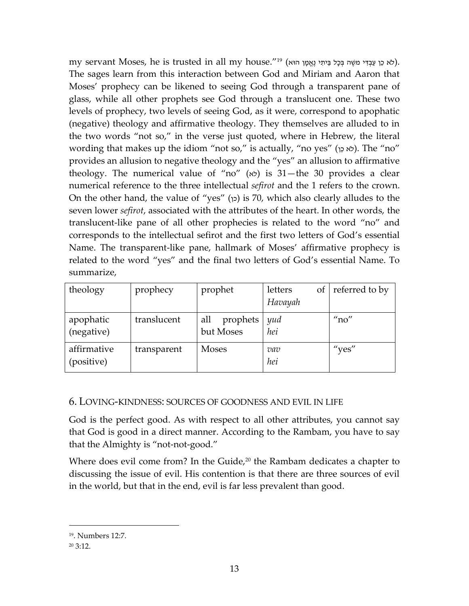my servant Moses, he is trusted in all my house." $^{\rm 19}$  (לֹא כֵּן עַבְּדִּי משֶׁה בְּכָל בֵּיתִי נֶאֱמֶן הוּא). The sages learn from this interaction between God and Miriam and Aaron that Moses' prophecy can be likened to seeing God through a transparent pane of glass, while all other prophets see God through a translucent one. These two levels of prophecy, two levels of seeing God, as it were, correspond to apophatic (negative) theology and affirmative theology. They themselves are alluded to in the two words "not so," in the verse just quoted, where in Hebrew, the literal wording that makes up the idiom "not so," is actually, "no yes" (לֹא כֵּן). The "no" provides an allusion to negative theology and the "yes" an allusion to affirmative theology. The numerical value of "no"  $(x)$  is 31—the 30 provides a clear numerical reference to the three intellectual *sefirot* and the 1 refers to the crown. On the other hand, the value of "yes" (כן) is 70, which also clearly alludes to the seven lower *sefirot*, associated with the attributes of the heart. In other words, the translucent-like pane of all other prophecies is related to the word "no" and corresponds to the intellectual sefirot and the first two letters of God's essential Name. The transparent-like pane, hallmark of Moses' affirmative prophecy is related to the word "yes" and the final two letters of God's essential Name. To summarize,

| theology                  | prophecy    | prophet                      | letters<br>Havayah | of referred to by |
|---------------------------|-------------|------------------------------|--------------------|-------------------|
| apophatic<br>(negative)   | translucent | prophets<br>all<br>but Moses | yud<br>hei         | n <sub>0</sub>    |
| affirmative<br>(positive) | transparent | <b>Moses</b>                 | vav<br>hei         | "yes"             |

## 6. LOVING-KINDNESS: SOURCES OF GOODNESS AND EVIL IN LIFE

God is the perfect good. As with respect to all other attributes, you cannot say that God is good in a direct manner. According to the Rambam, you have to say that the Almighty is "not-not-good."

Where does evil come from? In the Guide, $20$  the Rambam dedicates a chapter to discussing the issue of evil. His contention is that there are three sources of evil in the world, but that in the end, evil is far less prevalent than good.

<sup>19</sup>. Numbers 12:7.

 $20, 3:12.$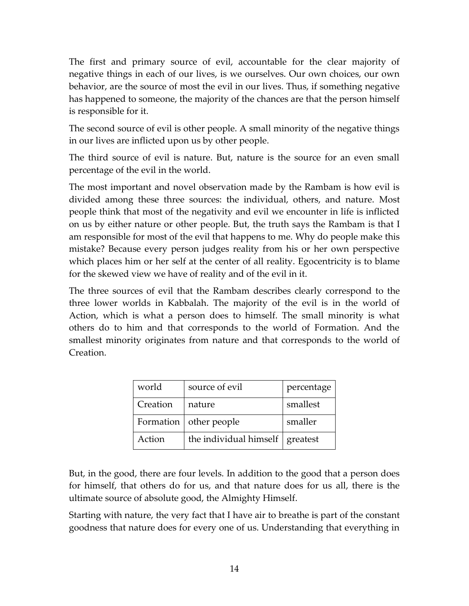The first and primary source of evil, accountable for the clear majority of negative things in each of our lives, is we ourselves. Our own choices, our own behavior, are the source of most the evil in our lives. Thus, if something negative has happened to someone, the majority of the chances are that the person himself is responsible for it.

The second source of evil is other people. A small minority of the negative things in our lives are inflicted upon us by other people.

The third source of evil is nature. But, nature is the source for an even small percentage of the evil in the world.

The most important and novel observation made by the Rambam is how evil is divided among these three sources: the individual, others, and nature. Most people think that most of the negativity and evil we encounter in life is inflicted on us by either nature or other people. But, the truth says the Rambam is that I am responsible for most of the evil that happens to me. Why do people make this mistake? Because every person judges reality from his or her own perspective which places him or her self at the center of all reality. Egocentricity is to blame for the skewed view we have of reality and of the evil in it.

The three sources of evil that the Rambam describes clearly correspond to the three lower worlds in Kabbalah. The majority of the evil is in the world of Action, which is what a person does to himself. The small minority is what others do to him and that corresponds to the world of Formation. And the smallest minority originates from nature and that corresponds to the world of Creation.

| world     | source of evil         | percentage |
|-----------|------------------------|------------|
| Creation  | nature                 | smallest   |
| Formation | other people           | smaller    |
| Action    | the individual himself | greatest   |

But, in the good, there are four levels. In addition to the good that a person does for himself, that others do for us, and that nature does for us all, there is the ultimate source of absolute good, the Almighty Himself.

Starting with nature, the very fact that I have air to breathe is part of the constant goodness that nature does for every one of us. Understanding that everything in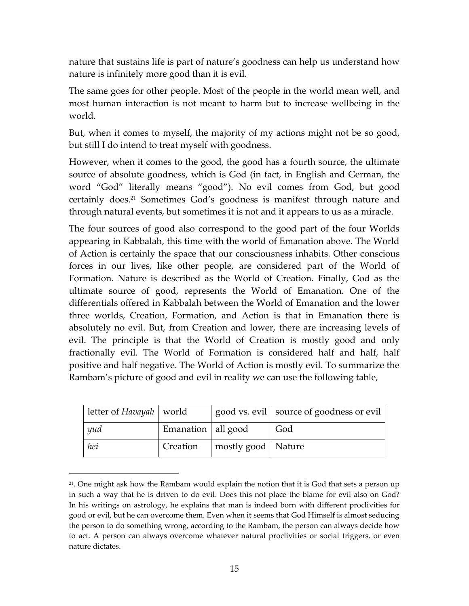nature that sustains life is part of nature's goodness can help us understand how nature is infinitely more good than it is evil.

The same goes for other people. Most of the people in the world mean well, and most human interaction is not meant to harm but to increase wellbeing in the world.

But, when it comes to myself, the majority of my actions might not be so good, but still I do intend to treat myself with goodness.

However, when it comes to the good, the good has a fourth source, the ultimate source of absolute goodness, which is God (in fact, in English and German, the word "God" literally means "good"). No evil comes from God, but good certainly does.<sup>21</sup> Sometimes God's goodness is manifest through nature and through natural events, but sometimes it is not and it appears to us as a miracle.

The four sources of good also correspond to the good part of the four Worlds appearing in Kabbalah, this time with the world of Emanation above. The World of Action is certainly the space that our consciousness inhabits. Other conscious forces in our lives, like other people, are considered part of the World of Formation. Nature is described as the World of Creation. Finally, God as the ultimate source of good, represents the World of Emanation. One of the differentials offered in Kabbalah between the World of Emanation and the lower three worlds, Creation, Formation, and Action is that in Emanation there is absolutely no evil. But, from Creation and lower, there are increasing levels of evil. The principle is that the World of Creation is mostly good and only fractionally evil. The World of Formation is considered half and half, half positive and half negative. The World of Action is mostly evil. To summarize the Rambam's picture of good and evil in reality we can use the following table,

| letter of Havayah   world |                      |                      | good vs. evil   source of goodness or evil |
|---------------------------|----------------------|----------------------|--------------------------------------------|
| yud                       | Emanation   all good |                      | God                                        |
| hei                       | Creation             | mostly good   Nature |                                            |

 $2<sup>1</sup>$ . One might ask how the Rambam would explain the notion that it is God that sets a person up in such a way that he is driven to do evil. Does this not place the blame for evil also on God? In his writings on astrology, he explains that man is indeed born with different proclivities for good or evil, but he can overcome them. Even when it seems that God Himself is almost seducing the person to do something wrong, according to the Rambam, the person can always decide how to act. A person can always overcome whatever natural proclivities or social triggers, or even nature dictates.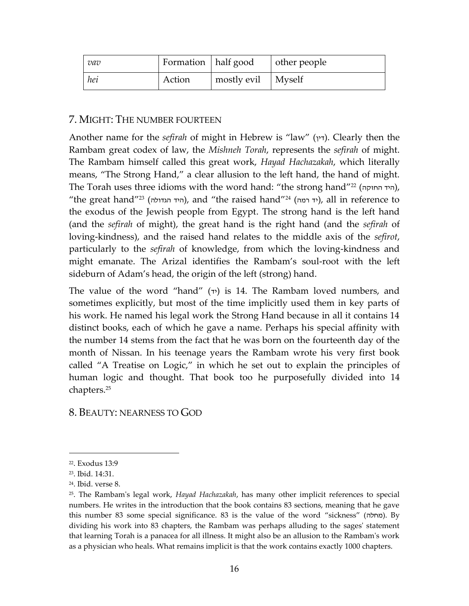| vav | Formation   half good |                      | other people |
|-----|-----------------------|----------------------|--------------|
| hei | Action                | mostly evil   Myself |              |

## 7. MIGHT: THE NUMBER FOURTEEN

Another name for the *sefirah* of might in Hebrew is "law" (דין). Clearly then the Rambam great codex of law, the *Mishneh Torah*, represents the *sefirah* of might. The Rambam himself called this great work, *Hayad Hachazakah*, which literally means, "The Strong Hand," a clear allusion to the left hand, the hand of might. The Torah uses three idioms with the word hand: "the strong hand" ,(היד החזקה) <sup>22</sup> "the great hand"<sup>23</sup> (היד הגדולה), and "the raised hand"<sup>24</sup> (יד רמה), all in reference to the exodus of the Jewish people from Egypt. The strong hand is the left hand (and the *sefirah* of might), the great hand is the right hand (and the *sefirah* of loving-kindness), and the raised hand relates to the middle axis of the *sefirot*, particularly to the *sefirah* of knowledge, from which the loving-kindness and might emanate. The Arizal identifies the Rambam's soul-root with the left sideburn of Adam's head, the origin of the left (strong) hand.

The value of the word "hand"  $(\tau)$  is 14. The Rambam loved numbers, and sometimes explicitly, but most of the time implicitly used them in key parts of his work. He named his legal work the Strong Hand because in all it contains 14 distinct books, each of which he gave a name. Perhaps his special affinity with the number 14 stems from the fact that he was born on the fourteenth day of the month of Nissan. In his teenage years the Rambam wrote his very first book called "A Treatise on Logic," in which he set out to explain the principles of human logic and thought. That book too he purposefully divided into 14 chapters.<sup>25</sup>

8. BEAUTY: NEARNESS TO GOD

<sup>22</sup>. Exodus 13:9

<sup>23</sup>. Ibid. 14:31.

<sup>24</sup>. Ibid. verse 8.

<sup>25</sup>. The Rambam's legal work, *Hayad Hachazakah*, has many other implicit references to special numbers. He writes in the introduction that the book contains 83 sections, meaning that he gave this number 83 some special significance. 83 is the value of the word "sickness" (מחלה). By dividing his work into 83 chapters, the Rambam was perhaps alluding to the sages' statement that learning Torah is a panacea for all illness. It might also be an allusion to the Rambam's work as a physician who heals. What remains implicit is that the work contains exactly 1000 chapters.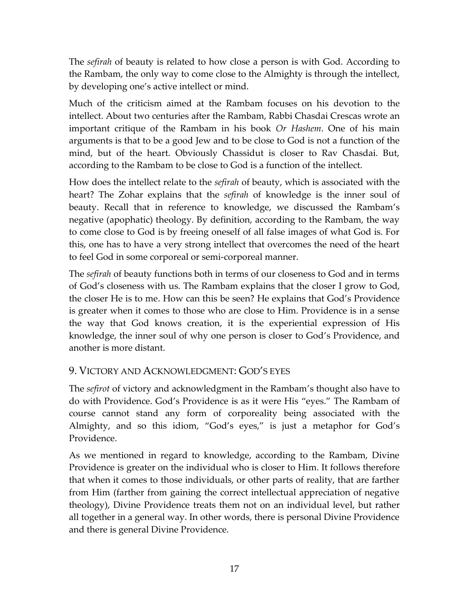The *sefirah* of beauty is related to how close a person is with God. According to the Rambam, the only way to come close to the Almighty is through the intellect, by developing one's active intellect or mind.

Much of the criticism aimed at the Rambam focuses on his devotion to the intellect. About two centuries after the Rambam, Rabbi Chasdai Crescas wrote an important critique of the Rambam in his book *Or Hashem*. One of his main arguments is that to be a good Jew and to be close to God is not a function of the mind, but of the heart. Obviously Chassidut is closer to Rav Chasdai. But, according to the Rambam to be close to God is a function of the intellect.

How does the intellect relate to the *sefirah* of beauty, which is associated with the heart? The Zohar explains that the *sefirah* of knowledge is the inner soul of beauty. Recall that in reference to knowledge, we discussed the Rambam's negative (apophatic) theology. By definition, according to the Rambam, the way to come close to God is by freeing oneself of all false images of what God is. For this, one has to have a very strong intellect that overcomes the need of the heart to feel God in some corporeal or semi-corporeal manner.

The *sefirah* of beauty functions both in terms of our closeness to God and in terms of God's closeness with us. The Rambam explains that the closer I grow to God, the closer He is to me. How can this be seen? He explains that God's Providence is greater when it comes to those who are close to Him. Providence is in a sense the way that God knows creation, it is the experiential expression of His knowledge, the inner soul of why one person is closer to God's Providence, and another is more distant.

# 9. VICTORY AND ACKNOWLEDGMENT: GOD'S EYES

The *sefirot* of victory and acknowledgment in the Rambam's thought also have to do with Providence. God's Providence is as it were His "eyes." The Rambam of course cannot stand any form of corporeality being associated with the Almighty, and so this idiom, "God's eyes," is just a metaphor for God's Providence.

As we mentioned in regard to knowledge, according to the Rambam, Divine Providence is greater on the individual who is closer to Him. It follows therefore that when it comes to those individuals, or other parts of reality, that are farther from Him (farther from gaining the correct intellectual appreciation of negative theology), Divine Providence treats them not on an individual level, but rather all together in a general way. In other words, there is personal Divine Providence and there is general Divine Providence.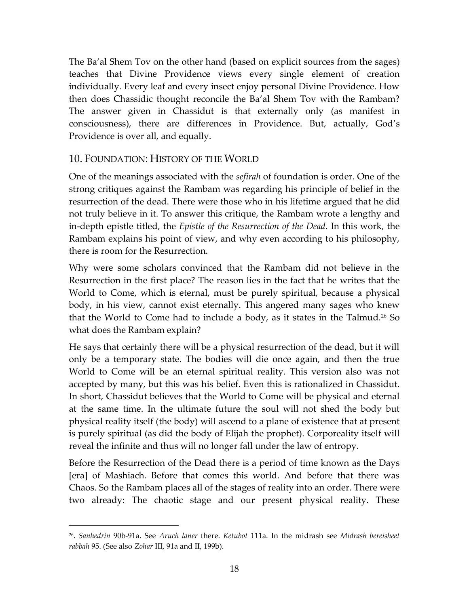The Ba'al Shem Tov on the other hand (based on explicit sources from the sages) teaches that Divine Providence views every single element of creation individually. Every leaf and every insect enjoy personal Divine Providence. How then does Chassidic thought reconcile the Ba'al Shem Tov with the Rambam? The answer given in Chassidut is that externally only (as manifest in consciousness), there are differences in Providence. But, actually, God's Providence is over all, and equally.

# 10. FOUNDATION: HISTORY OF THE WORLD

One of the meanings associated with the *sefirah* of foundation is order. One of the strong critiques against the Rambam was regarding his principle of belief in the resurrection of the dead. There were those who in his lifetime argued that he did not truly believe in it. To answer this critique, the Rambam wrote a lengthy and in-depth epistle titled, the *Epistle of the Resurrection of the Dead*. In this work, the Rambam explains his point of view, and why even according to his philosophy, there is room for the Resurrection.

Why were some scholars convinced that the Rambam did not believe in the Resurrection in the first place? The reason lies in the fact that he writes that the World to Come, which is eternal, must be purely spiritual, because a physical body, in his view, cannot exist eternally. This angered many sages who knew that the World to Come had to include a body, as it states in the Talmud.<sup>26</sup> So what does the Rambam explain?

He says that certainly there will be a physical resurrection of the dead, but it will only be a temporary state. The bodies will die once again, and then the true World to Come will be an eternal spiritual reality. This version also was not accepted by many, but this was his belief. Even this is rationalized in Chassidut. In short, Chassidut believes that the World to Come will be physical and eternal at the same time. In the ultimate future the soul will not shed the body but physical reality itself (the body) will ascend to a plane of existence that at present is purely spiritual (as did the body of Elijah the prophet). Corporeality itself will reveal the infinite and thus will no longer fall under the law of entropy.

Before the Resurrection of the Dead there is a period of time known as the Days [era] of Mashiach. Before that comes this world. And before that there was Chaos. So the Rambam places all of the stages of reality into an order. There were two already: The chaotic stage and our present physical reality. These

<sup>26</sup> . *Sanhedrin* 90b-91a. See *Aruch laner* there. *Ketubot* 111a. In the midrash see *Midrash bereisheet rabbah* 95. (See also *Zohar* III, 91a and II, 199b).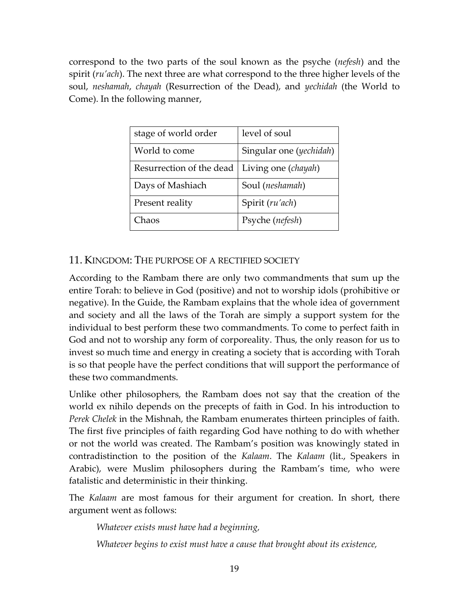correspond to the two parts of the soul known as the psyche (*nefesh*) and the spirit (*ru'ach*). The next three are what correspond to the three higher levels of the soul, *neshamah*, *chayah* (Resurrection of the Dead), and *yechidah* (the World to Come). In the following manner,

| stage of world order     | level of soul           |
|--------------------------|-------------------------|
| World to come            | Singular one (yechidah) |
| Resurrection of the dead | Living one (chayah)     |
| Days of Mashiach         | Soul (neshamah)         |
| Present reality          | Spirit (ru'ach)         |
| Chaos                    | Psyche (nefesh)         |

# 11. KINGDOM: THE PURPOSE OF A RECTIFIED SOCIETY

According to the Rambam there are only two commandments that sum up the entire Torah: to believe in God (positive) and not to worship idols (prohibitive or negative). In the Guide, the Rambam explains that the whole idea of government and society and all the laws of the Torah are simply a support system for the individual to best perform these two commandments. To come to perfect faith in God and not to worship any form of corporeality. Thus, the only reason for us to invest so much time and energy in creating a society that is according with Torah is so that people have the perfect conditions that will support the performance of these two commandments.

Unlike other philosophers, the Rambam does not say that the creation of the world ex nihilo depends on the precepts of faith in God. In his introduction to *Perek Chelek* in the Mishnah, the Rambam enumerates thirteen principles of faith. The first five principles of faith regarding God have nothing to do with whether or not the world was created. The Rambam's position was knowingly stated in contradistinction to the position of the *Kalaam*. The *Kalaam* (lit., Speakers in Arabic), were Muslim philosophers during the Rambam's time, who were fatalistic and deterministic in their thinking.

The *Kalaam* are most famous for their argument for creation. In short, there argument went as follows:

*Whatever exists must have had a beginning,*

*Whatever begins to exist must have a cause that brought about its existence,*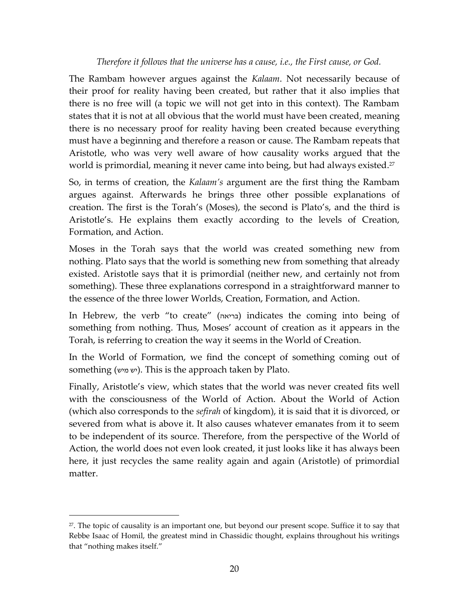## *Therefore it follows that the universe has a cause, i.e., the First cause, or God.*

The Rambam however argues against the *Kalaam*. Not necessarily because of their proof for reality having been created, but rather that it also implies that there is no free will (a topic we will not get into in this context). The Rambam states that it is not at all obvious that the world must have been created, meaning there is no necessary proof for reality having been created because everything must have a beginning and therefore a reason or cause. The Rambam repeats that Aristotle, who was very well aware of how causality works argued that the world is primordial, meaning it never came into being, but had always existed. 27

So, in terms of creation, the *Kalaam's* argument are the first thing the Rambam argues against. Afterwards he brings three other possible explanations of creation. The first is the Torah's (Moses), the second is Plato's, and the third is Aristotle's. He explains them exactly according to the levels of Creation, Formation, and Action.

Moses in the Torah says that the world was created something new from nothing. Plato says that the world is something new from something that already existed. Aristotle says that it is primordial (neither new, and certainly not from something). These three explanations correspond in a straightforward manner to the essence of the three lower Worlds, Creation, Formation, and Action.

In Hebrew, the verb "to create" (בריאה (indicates the coming into being of something from nothing. Thus, Moses' account of creation as it appears in the Torah, is referring to creation the way it seems in the World of Creation.

In the World of Formation, we find the concept of something coming out of something (יש מיש). This is the approach taken by Plato.

Finally, Aristotle's view, which states that the world was never created fits well with the consciousness of the World of Action. About the World of Action (which also corresponds to the *sefirah* of kingdom), it is said that it is divorced, or severed from what is above it. It also causes whatever emanates from it to seem to be independent of its source. Therefore, from the perspective of the World of Action, the world does not even look created, it just looks like it has always been here, it just recycles the same reality again and again (Aristotle) of primordial matter.

<sup>&</sup>lt;sup>27</sup>. The topic of causality is an important one, but beyond our present scope. Suffice it to say that Rebbe Isaac of Homil, the greatest mind in Chassidic thought, explains throughout his writings that "nothing makes itself."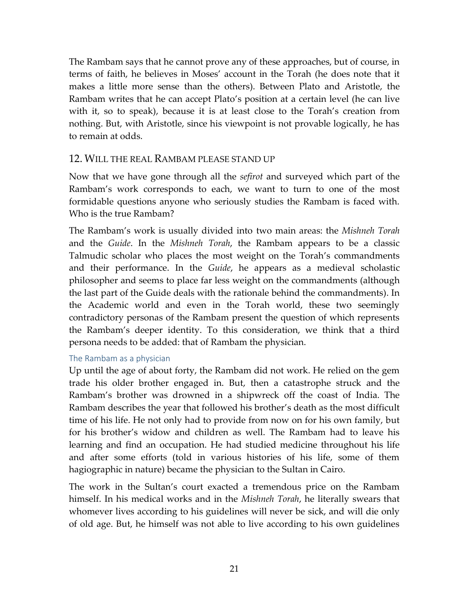The Rambam says that he cannot prove any of these approaches, but of course, in terms of faith, he believes in Moses' account in the Torah (he does note that it makes a little more sense than the others). Between Plato and Aristotle, the Rambam writes that he can accept Plato's position at a certain level (he can live with it, so to speak), because it is at least close to the Torah's creation from nothing. But, with Aristotle, since his viewpoint is not provable logically, he has to remain at odds.

## 12. WILL THE REAL RAMBAM PLEASE STAND UP

Now that we have gone through all the *sefirot* and surveyed which part of the Rambam's work corresponds to each, we want to turn to one of the most formidable questions anyone who seriously studies the Rambam is faced with. Who is the true Rambam?

The Rambam's work is usually divided into two main areas: the *Mishneh Torah* and the *Guide*. In the *Mishneh Torah*, the Rambam appears to be a classic Talmudic scholar who places the most weight on the Torah's commandments and their performance. In the *Guide*, he appears as a medieval scholastic philosopher and seems to place far less weight on the commandments (although the last part of the Guide deals with the rationale behind the commandments). In the Academic world and even in the Torah world, these two seemingly contradictory personas of the Rambam present the question of which represents the Rambam's deeper identity. To this consideration, we think that a third persona needs to be added: that of Rambam the physician.

## The Rambam as a physician

Up until the age of about forty, the Rambam did not work. He relied on the gem trade his older brother engaged in. But, then a catastrophe struck and the Rambam's brother was drowned in a shipwreck off the coast of India. The Rambam describes the year that followed his brother's death as the most difficult time of his life. He not only had to provide from now on for his own family, but for his brother's widow and children as well. The Rambam had to leave his learning and find an occupation. He had studied medicine throughout his life and after some efforts (told in various histories of his life, some of them hagiographic in nature) became the physician to the Sultan in Cairo.

The work in the Sultan's court exacted a tremendous price on the Rambam himself. In his medical works and in the *Mishneh Torah*, he literally swears that whomever lives according to his guidelines will never be sick, and will die only of old age. But, he himself was not able to live according to his own guidelines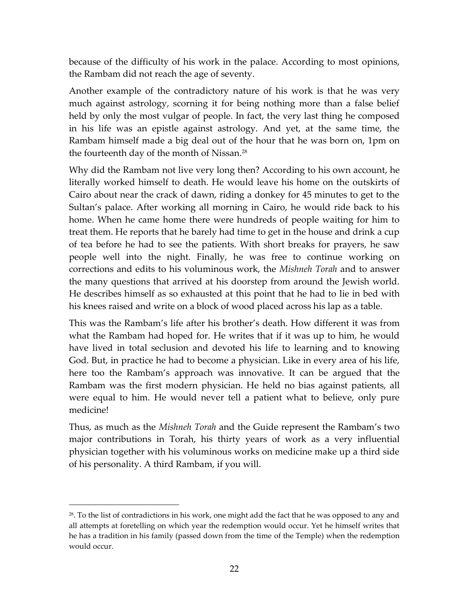because of the difficulty of his work in the palace. According to most opinions, the Rambam did not reach the age of seventy.

Another example of the contradictory nature of his work is that he was very much against astrology, scorning it for being nothing more than a false belief held by only the most vulgar of people. In fact, the very last thing he composed in his life was an epistle against astrology. And yet, at the same time, the Rambam himself made a big deal out of the hour that he was born on, 1pm on the fourteenth day of the month of Nissan.<sup>28</sup>

Why did the Rambam not live very long then? According to his own account, he literally worked himself to death. He would leave his home on the outskirts of Cairo about near the crack of dawn, riding a donkey for 45 minutes to get to the Sultan's palace. After working all morning in Cairo, he would ride back to his home. When he came home there were hundreds of people waiting for him to treat them. He reports that he barely had time to get in the house and drink a cup of tea before he had to see the patients. With short breaks for prayers, he saw people well into the night. Finally, he was free to continue working on corrections and edits to his voluminous work, the *Mishneh Torah* and to answer the many questions that arrived at his doorstep from around the Jewish world. He describes himself as so exhausted at this point that he had to lie in bed with his knees raised and write on a block of wood placed across his lap as a table.

This was the Rambam's life after his brother's death. How different it was from what the Rambam had hoped for. He writes that if it was up to him, he would have lived in total seclusion and devoted his life to learning and to knowing God. But, in practice he had to become a physician. Like in every area of his life, here too the Rambam's approach was innovative. It can be argued that the Rambam was the first modern physician. He held no bias against patients, all were equal to him. He would never tell a patient what to believe, only pure medicine!

Thus, as much as the *Mishneh Torah* and the Guide represent the Rambam's two major contributions in Torah, his thirty years of work as a very influential physician together with his voluminous works on medicine make up a third side of his personality. A third Rambam, if you will.

 $28$ . To the list of contradictions in his work, one might add the fact that he was opposed to any and all attempts at foretelling on which year the redemption would occur. Yet he himself writes that he has a tradition in his family (passed down from the time of the Temple) when the redemption would occur.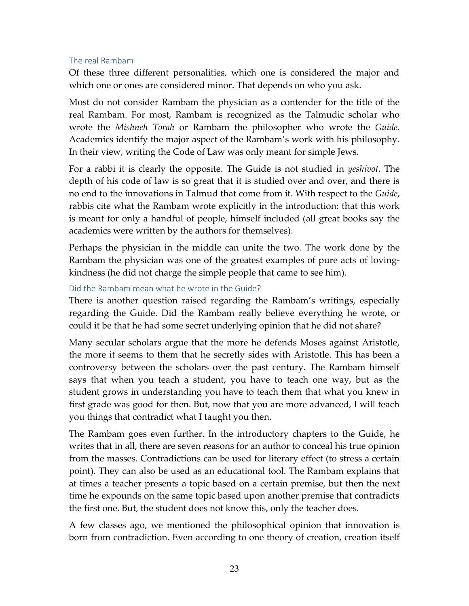#### The real Rambam

Of these three different personalities, which one is considered the major and which one or ones are considered minor. That depends on who you ask.

Most do not consider Rambam the physician as a contender for the title of the real Rambam. For most, Rambam is recognized as the Talmudic scholar who wrote the *Mishneh Torah* or Rambam the philosopher who wrote the *Guide*. Academics identify the major aspect of the Rambam's work with his philosophy. In their view, writing the Code of Law was only meant for simple Jews.

For a rabbi it is clearly the opposite. The Guide is not studied in *yeshivot*. The depth of his code of law is so great that it is studied over and over, and there is no end to the innovations in Talmud that come from it. With respect to the *Guide*, rabbis cite what the Rambam wrote explicitly in the introduction: that this work is meant for only a handful of people, himself included (all great books say the academics were written by the authors for themselves).

Perhaps the physician in the middle can unite the two. The work done by the Rambam the physician was one of the greatest examples of pure acts of lovingkindness (he did not charge the simple people that came to see him).

#### Did the Rambam mean what he wrote in the Guide?

There is another question raised regarding the Rambam's writings, especially regarding the Guide. Did the Rambam really believe everything he wrote, or could it be that he had some secret underlying opinion that he did not share?

Many secular scholars argue that the more he defends Moses against Aristotle, the more it seems to them that he secretly sides with Aristotle. This has been a controversy between the scholars over the past century. The Rambam himself says that when you teach a student, you have to teach one way, but as the student grows in understanding you have to teach them that what you knew in first grade was good for then. But, now that you are more advanced, I will teach you things that contradict what I taught you then.

The Rambam goes even further. In the introductory chapters to the Guide, he writes that in all, there are seven reasons for an author to conceal his true opinion from the masses. Contradictions can be used for literary effect (to stress a certain point). They can also be used as an educational tool. The Rambam explains that at times a teacher presents a topic based on a certain premise, but then the next time he expounds on the same topic based upon another premise that contradicts the first one. But, the student does not know this, only the teacher does.

A few classes ago, we mentioned the philosophical opinion that innovation is born from contradiction. Even according to one theory of creation, creation itself